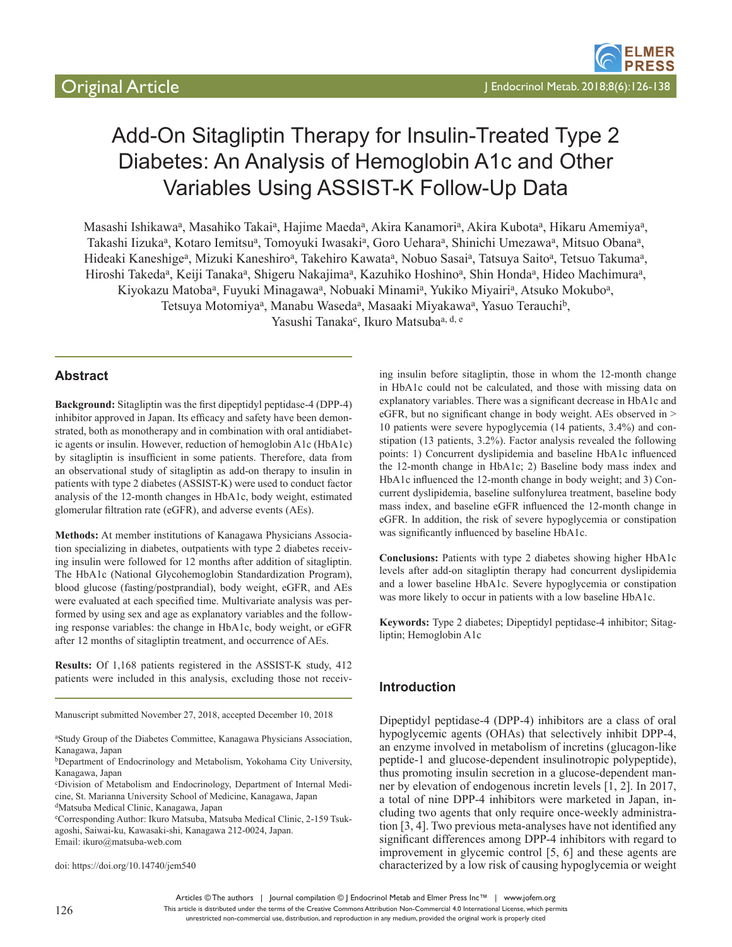# Add-On Sitagliptin Therapy for Insulin-Treated Type 2 Diabetes: An Analysis of Hemoglobin A1c and Other Variables Using ASSIST-K Follow-Up Data

Masashi Ishikawa<sup>a</sup>, Masahiko Takai<sup>a</sup>, Hajime Maeda<sup>a</sup>, Akira Kanamori<sup>a</sup>, Akira Kubota<sup>a</sup>, Hikaru Amemiya<sup>a</sup>, Takashi Iizuka<sup>a</sup>, Kotaro Iemitsu<sup>a</sup>, Tomoyuki Iwasaki<sup>a</sup>, Goro Uehara<sup>a</sup>, Shinichi Umezawa<sup>a</sup>, Mitsuo Obana<sup>a</sup>, Hideaki Kaneshige<sup>a</sup>, Mizuki Kaneshiro<sup>a</sup>, Takehiro Kawata<sup>a</sup>, Nobuo Sasai<sup>a</sup>, Tatsuya Saito<sup>a</sup>, Tetsuo Takuma<sup>a</sup>, Hiroshi Takeda<sup>a</sup>, Keiji Tanaka<sup>a</sup>, Shigeru Nakajima<sup>a</sup>, Kazuhiko Hoshino<sup>a</sup>, Shin Honda<sup>a</sup>, Hideo Machimura<sup>a</sup>, Kiyokazu Matoba<sup>a</sup>, Fuyuki Minagawa<sup>a</sup>, Nobuaki Minami<sup>a</sup>, Yukiko Miyairi<sup>a</sup>, Atsuko Mokubo<sup>a</sup>, Tetsuya Motomiya<sup>a</sup>, Manabu Waseda<sup>a</sup>, Masaaki Miyakawa<sup>a</sup>, Yasuo Terauchi<sup>b</sup>, Yasushi Tanaka<sup>c</sup>, Ikuro Matsubaa, d, e

# **Abstract**

**Background:** Sitagliptin was the first dipeptidyl peptidase-4 (DPP-4) inhibitor approved in Japan. Its efficacy and safety have been demonstrated, both as monotherapy and in combination with oral antidiabetic agents or insulin. However, reduction of hemoglobin A1c (HbA1c) by sitagliptin is insufficient in some patients. Therefore, data from an observational study of sitagliptin as add-on therapy to insulin in patients with type 2 diabetes (ASSIST-K) were used to conduct factor analysis of the 12-month changes in HbA1c, body weight, estimated glomerular filtration rate (eGFR), and adverse events (AEs).

**Methods:** At member institutions of Kanagawa Physicians Association specializing in diabetes, outpatients with type 2 diabetes receiving insulin were followed for 12 months after addition of sitagliptin. The HbA1c (National Glycohemoglobin Standardization Program), blood glucose (fasting/postprandial), body weight, eGFR, and AEs were evaluated at each specified time. Multivariate analysis was performed by using sex and age as explanatory variables and the following response variables: the change in HbA1c, body weight, or eGFR after 12 months of sitagliptin treatment, and occurrence of AEs.

**Results:** Of 1,168 patients registered in the ASSIST-K study, 412 patients were included in this analysis, excluding those not receiv-

Manuscript submitted November 27, 2018, accepted December 10, 2018

c Division of Metabolism and Endocrinology, Department of Internal Medicine, St. Marianna University School of Medicine, Kanagawa, Japan <sup>d</sup>Matsuba Medical Clinic, Kanagawa, Japan

e Corresponding Author: Ikuro Matsuba, Matsuba Medical Clinic, 2-159 Tsukagoshi, Saiwai-ku, Kawasaki-shi, Kanagawa 212-0024, Japan. Email: ikuro@matsuba-web.com

doi: https://doi.org/10.14740/jem540

ing insulin before sitagliptin, those in whom the 12-month change in HbA1c could not be calculated, and those with missing data on explanatory variables. There was a significant decrease in HbA1c and eGFR, but no significant change in body weight. AEs observed in > 10 patients were severe hypoglycemia (14 patients, 3.4%) and constipation (13 patients, 3.2%). Factor analysis revealed the following points: 1) Concurrent dyslipidemia and baseline HbA1c influenced the 12-month change in HbA1c; 2) Baseline body mass index and HbA1c influenced the 12-month change in body weight; and 3) Concurrent dyslipidemia, baseline sulfonylurea treatment, baseline body mass index, and baseline eGFR influenced the 12-month change in eGFR. In addition, the risk of severe hypoglycemia or constipation was significantly influenced by baseline HbA1c.

**Conclusions:** Patients with type 2 diabetes showing higher HbA1c levels after add-on sitagliptin therapy had concurrent dyslipidemia and a lower baseline HbA1c. Severe hypoglycemia or constipation was more likely to occur in patients with a low baseline HbA1c.

**Keywords:** Type 2 diabetes; Dipeptidyl peptidase-4 inhibitor; Sitagliptin; Hemoglobin A1c

#### **Introduction**

Dipeptidyl peptidase-4 (DPP-4) inhibitors are a class of oral hypoglycemic agents (OHAs) that selectively inhibit DPP-4, an enzyme involved in metabolism of incretins (glucagon-like peptide-1 and glucose-dependent insulinotropic polypeptide), thus promoting insulin secretion in a glucose-dependent manner by elevation of endogenous incretin levels [1, 2]. In 2017, a total of nine DPP-4 inhibitors were marketed in Japan, including two agents that only require once-weekly administration [3, 4]. Two previous meta-analyses have not identified any significant differences among DPP-4 inhibitors with regard to improvement in glycemic control [5, 6] and these agents are characterized by a low risk of causing hypoglycemia or weight

Articles © The authors | Journal compilation © J Endocrinol Metab and Elmer Press Inc™ | www.jofem.org

This article is distributed under the terms of the Creative Commons Attribution Non-Commercial 4.0 International License, which permits

<sup>&</sup>lt;sup>a</sup>Study Group of the Diabetes Committee, Kanagawa Physicians Association, Kanagawa, Japan

<sup>b</sup>Department of Endocrinology and Metabolism, Yokohama City University, Kanagawa, Japan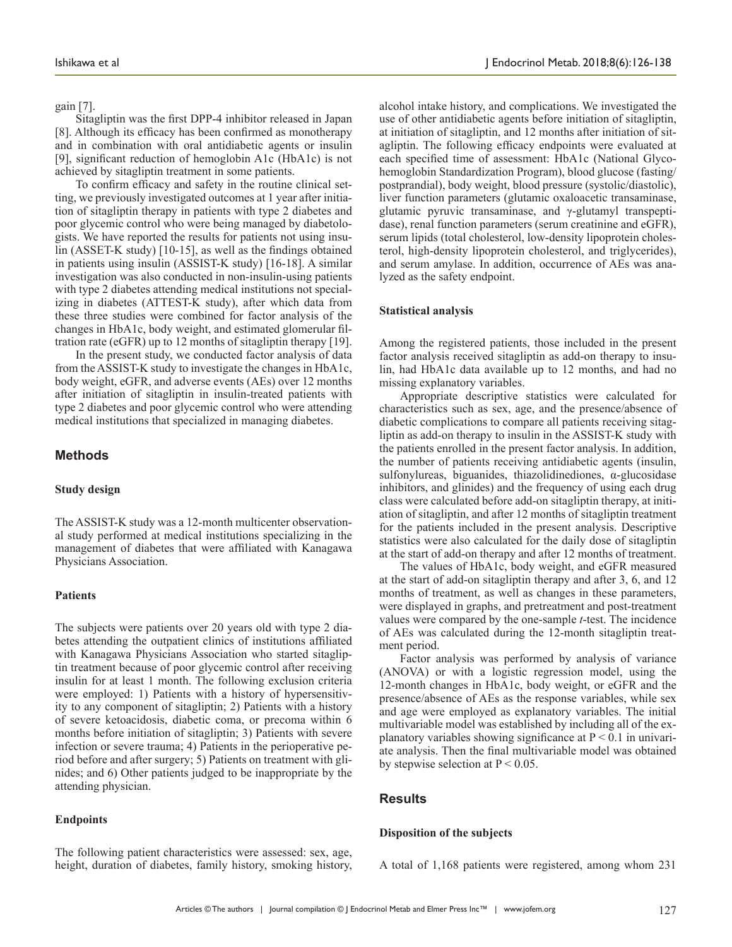gain [7].

Sitagliptin was the first DPP-4 inhibitor released in Japan [8]. Although its efficacy has been confirmed as monotherapy and in combination with oral antidiabetic agents or insulin [9], significant reduction of hemoglobin A1c (HbA1c) is not achieved by sitagliptin treatment in some patients.

To confirm efficacy and safety in the routine clinical setting, we previously investigated outcomes at 1 year after initiation of sitagliptin therapy in patients with type 2 diabetes and poor glycemic control who were being managed by diabetologists. We have reported the results for patients not using insulin (ASSET-K study) [10-15], as well as the findings obtained in patients using insulin (ASSIST-K study) [16-18]. A similar investigation was also conducted in non-insulin-using patients with type 2 diabetes attending medical institutions not specializing in diabetes (ATTEST-K study), after which data from these three studies were combined for factor analysis of the changes in HbA1c, body weight, and estimated glomerular filtration rate (eGFR) up to 12 months of sitagliptin therapy [19].

In the present study, we conducted factor analysis of data from the ASSIST-K study to investigate the changes in HbA1c, body weight, eGFR, and adverse events (AEs) over 12 months after initiation of sitagliptin in insulin-treated patients with type 2 diabetes and poor glycemic control who were attending medical institutions that specialized in managing diabetes.

## **Methods**

#### **Study design**

The ASSIST-K study was a 12-month multicenter observational study performed at medical institutions specializing in the management of diabetes that were affiliated with Kanagawa Physicians Association.

#### **Patients**

The subjects were patients over 20 years old with type 2 diabetes attending the outpatient clinics of institutions affiliated with Kanagawa Physicians Association who started sitagliptin treatment because of poor glycemic control after receiving insulin for at least 1 month. The following exclusion criteria were employed: 1) Patients with a history of hypersensitivity to any component of sitagliptin; 2) Patients with a history of severe ketoacidosis, diabetic coma, or precoma within 6 months before initiation of sitagliptin; 3) Patients with severe infection or severe trauma; 4) Patients in the perioperative period before and after surgery; 5) Patients on treatment with glinides; and 6) Other patients judged to be inappropriate by the attending physician.

#### **Endpoints**

The following patient characteristics were assessed: sex, age, height, duration of diabetes, family history, smoking history, alcohol intake history, and complications. We investigated the use of other antidiabetic agents before initiation of sitagliptin, at initiation of sitagliptin, and 12 months after initiation of sitagliptin. The following efficacy endpoints were evaluated at each specified time of assessment: HbA1c (National Glycohemoglobin Standardization Program), blood glucose (fasting/ postprandial), body weight, blood pressure (systolic/diastolic), liver function parameters (glutamic oxaloacetic transaminase, glutamic pyruvic transaminase, and γ-glutamyl transpeptidase), renal function parameters (serum creatinine and eGFR), serum lipids (total cholesterol, low-density lipoprotein cholesterol, high-density lipoprotein cholesterol, and triglycerides), and serum amylase. In addition, occurrence of AEs was analyzed as the safety endpoint.

#### **Statistical analysis**

Among the registered patients, those included in the present factor analysis received sitagliptin as add-on therapy to insulin, had HbA1c data available up to 12 months, and had no missing explanatory variables.

Appropriate descriptive statistics were calculated for characteristics such as sex, age, and the presence/absence of diabetic complications to compare all patients receiving sitagliptin as add-on therapy to insulin in the ASSIST-K study with the patients enrolled in the present factor analysis. In addition, the number of patients receiving antidiabetic agents (insulin, sulfonylureas, biguanides, thiazolidinediones, α-glucosidase inhibitors, and glinides) and the frequency of using each drug class were calculated before add-on sitagliptin therapy, at initiation of sitagliptin, and after 12 months of sitagliptin treatment for the patients included in the present analysis. Descriptive statistics were also calculated for the daily dose of sitagliptin at the start of add-on therapy and after 12 months of treatment.

The values of HbA1c, body weight, and eGFR measured at the start of add-on sitagliptin therapy and after 3, 6, and 12 months of treatment, as well as changes in these parameters, were displayed in graphs, and pretreatment and post-treatment values were compared by the one-sample *t*-test. The incidence of AEs was calculated during the 12-month sitagliptin treatment period.

Factor analysis was performed by analysis of variance (ANOVA) or with a logistic regression model, using the 12-month changes in HbA1c, body weight, or eGFR and the presence/absence of AEs as the response variables, while sex and age were employed as explanatory variables. The initial multivariable model was established by including all of the explanatory variables showing significance at  $P < 0.1$  in univariate analysis. Then the final multivariable model was obtained by stepwise selection at  $P < 0.05$ .

#### **Results**

#### **Disposition of the subjects**

A total of 1,168 patients were registered, among whom 231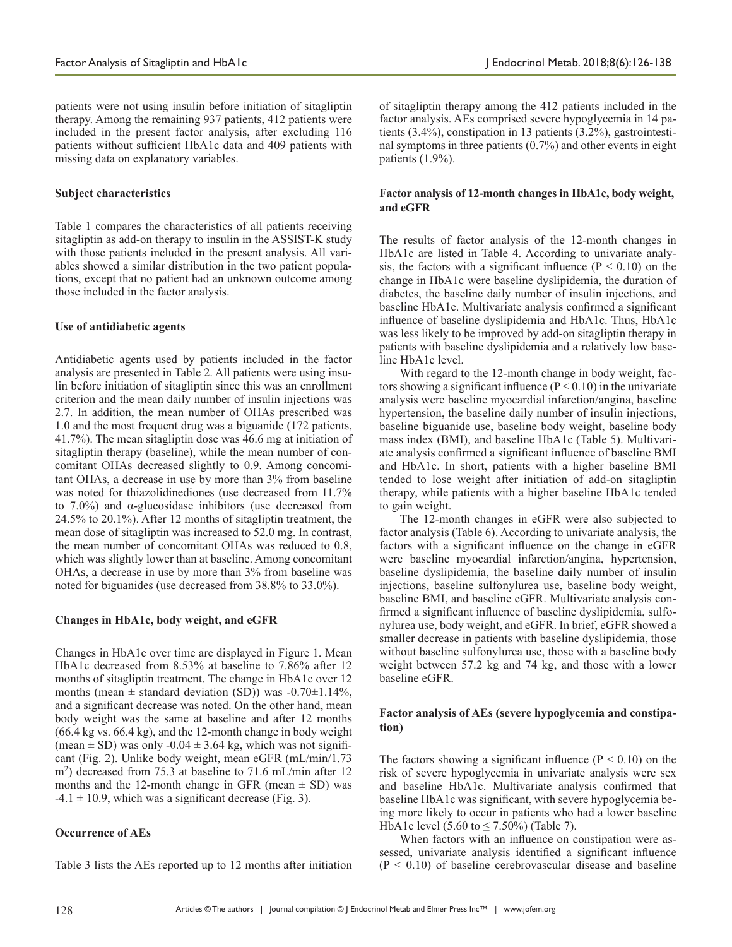patients were not using insulin before initiation of sitagliptin therapy. Among the remaining 937 patients, 412 patients were included in the present factor analysis, after excluding 116 patients without sufficient HbA1c data and 409 patients with missing data on explanatory variables.

#### **Subject characteristics**

Table 1 compares the characteristics of all patients receiving sitagliptin as add-on therapy to insulin in the ASSIST-K study with those patients included in the present analysis. All variables showed a similar distribution in the two patient populations, except that no patient had an unknown outcome among those included in the factor analysis.

#### **Use of antidiabetic agents**

Antidiabetic agents used by patients included in the factor analysis are presented in Table 2. All patients were using insulin before initiation of sitagliptin since this was an enrollment criterion and the mean daily number of insulin injections was 2.7. In addition, the mean number of OHAs prescribed was 1.0 and the most frequent drug was a biguanide (172 patients, 41.7%). The mean sitagliptin dose was 46.6 mg at initiation of sitagliptin therapy (baseline), while the mean number of concomitant OHAs decreased slightly to 0.9. Among concomitant OHAs, a decrease in use by more than 3% from baseline was noted for thiazolidinediones (use decreased from 11.7% to 7.0%) and α-glucosidase inhibitors (use decreased from 24.5% to 20.1%). After 12 months of sitagliptin treatment, the mean dose of sitagliptin was increased to 52.0 mg. In contrast, the mean number of concomitant OHAs was reduced to 0.8, which was slightly lower than at baseline. Among concomitant OHAs, a decrease in use by more than 3% from baseline was noted for biguanides (use decreased from 38.8% to 33.0%).

## **Changes in HbA1c, body weight, and eGFR**

Changes in HbA1c over time are displayed in Figure 1. Mean HbA1c decreased from 8.53% at baseline to 7.86% after 12 months of sitagliptin treatment. The change in HbA1c over 12 months (mean  $\pm$  standard deviation (SD)) was -0.70 $\pm$ 1.14%, and a significant decrease was noted. On the other hand, mean body weight was the same at baseline and after 12 months (66.4 kg vs. 66.4 kg), and the 12-month change in body weight (mean  $\pm$  SD) was only -0.04  $\pm$  3.64 kg, which was not significant (Fig. 2). Unlike body weight, mean eGFR (mL/min/1.73  $\rm{m}^2$ ) decreased from 75.3 at baseline to 71.6 mL/min after 12 months and the 12-month change in GFR (mean  $\pm$  SD) was  $-4.1 \pm 10.9$ , which was a significant decrease (Fig. 3).

## **Occurrence of AEs**

Table 3 lists the AEs reported up to 12 months after initiation

of sitagliptin therapy among the 412 patients included in the factor analysis. AEs comprised severe hypoglycemia in 14 patients (3.4%), constipation in 13 patients (3.2%), gastrointestinal symptoms in three patients (0.7%) and other events in eight patients (1.9%).

## **Factor analysis of 12-month changes in HbA1c, body weight, and eGFR**

The results of factor analysis of the 12-month changes in HbA1c are listed in Table 4. According to univariate analysis, the factors with a significant influence  $(P < 0.10)$  on the change in HbA1c were baseline dyslipidemia, the duration of diabetes, the baseline daily number of insulin injections, and baseline HbA1c. Multivariate analysis confirmed a significant influence of baseline dyslipidemia and HbA1c. Thus, HbA1c was less likely to be improved by add-on sitagliptin therapy in patients with baseline dyslipidemia and a relatively low baseline HbA1c level.

With regard to the 12-month change in body weight, factors showing a significant influence  $(P < 0.10)$  in the univariate analysis were baseline myocardial infarction/angina, baseline hypertension, the baseline daily number of insulin injections, baseline biguanide use, baseline body weight, baseline body mass index (BMI), and baseline HbA1c (Table 5). Multivariate analysis confirmed a significant influence of baseline BMI and HbA1c. In short, patients with a higher baseline BMI tended to lose weight after initiation of add-on sitagliptin therapy, while patients with a higher baseline HbA1c tended to gain weight.

The 12-month changes in eGFR were also subjected to factor analysis (Table 6). According to univariate analysis, the factors with a significant influence on the change in eGFR were baseline myocardial infarction/angina, hypertension, baseline dyslipidemia, the baseline daily number of insulin injections, baseline sulfonylurea use, baseline body weight, baseline BMI, and baseline eGFR. Multivariate analysis confirmed a significant influence of baseline dyslipidemia, sulfonylurea use, body weight, and eGFR. In brief, eGFR showed a smaller decrease in patients with baseline dyslipidemia, those without baseline sulfonylurea use, those with a baseline body weight between 57.2 kg and 74 kg, and those with a lower baseline eGFR.

# **Factor analysis of AEs (severe hypoglycemia and constipation)**

The factors showing a significant influence  $(P < 0.10)$  on the risk of severe hypoglycemia in univariate analysis were sex and baseline HbA1c. Multivariate analysis confirmed that baseline HbA1c was significant, with severe hypoglycemia being more likely to occur in patients who had a lower baseline HbA1c level (5.60 to  $\leq$  7.50%) (Table 7).

When factors with an influence on constipation were assessed, univariate analysis identified a significant influence  $(P < 0.10)$  of baseline cerebrovascular disease and baseline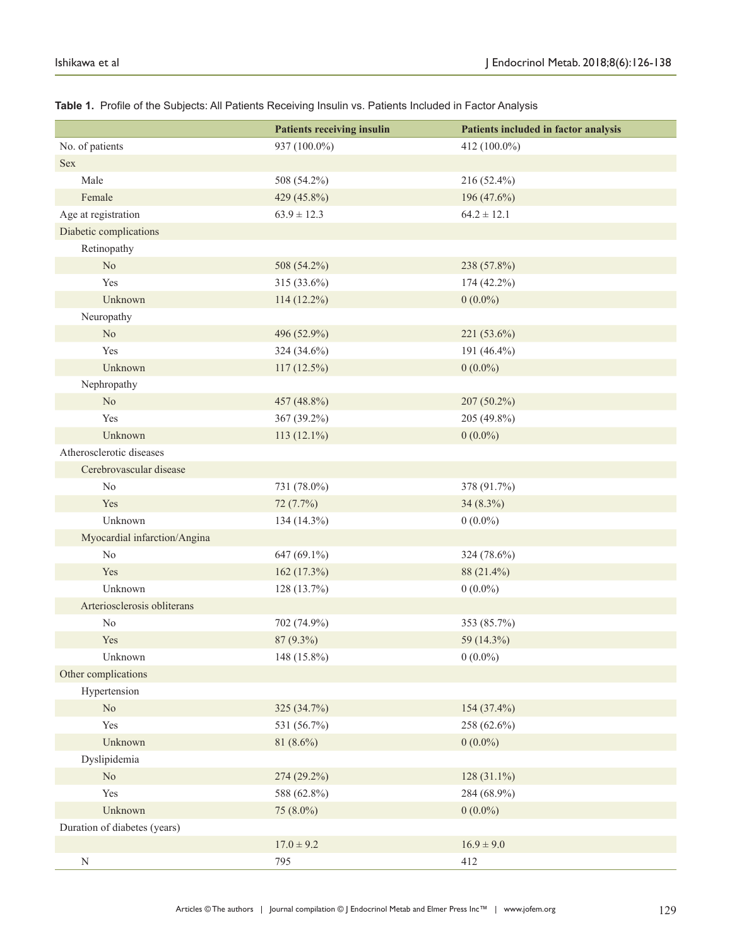|                              | <b>Patients receiving insulin</b> | Patients included in factor analysis |
|------------------------------|-----------------------------------|--------------------------------------|
| No. of patients              | 937 (100.0%)                      | 412 (100.0%)                         |
| Sex                          |                                   |                                      |
| Male                         | 508 (54.2%)                       | 216 (52.4%)                          |
| Female                       | 429 (45.8%)                       | 196 (47.6%)                          |
| Age at registration          | $63.9 \pm 12.3$                   | $64.2 \pm 12.1$                      |
| Diabetic complications       |                                   |                                      |
| Retinopathy                  |                                   |                                      |
| $\rm No$                     | 508 (54.2%)                       | 238 (57.8%)                          |
| Yes                          | 315 (33.6%)                       | 174 (42.2%)                          |
| Unknown                      | 114 (12.2%)                       | $0(0.0\%)$                           |
| Neuropathy                   |                                   |                                      |
| $\rm No$                     | 496 (52.9%)                       | 221 (53.6%)                          |
| Yes                          | 324 (34.6%)                       | 191 (46.4%)                          |
| Unknown                      | $117(12.5\%)$                     | $0(0.0\%)$                           |
| Nephropathy                  |                                   |                                      |
| No                           | 457 (48.8%)                       | 207 (50.2%)                          |
| Yes                          | 367 (39.2%)                       | 205 (49.8%)                          |
| Unknown                      | 113 $(12.1\%)$                    | $0(0.0\%)$                           |
| Atherosclerotic diseases     |                                   |                                      |
| Cerebrovascular disease      |                                   |                                      |
| $\rm No$                     | 731 (78.0%)                       | 378 (91.7%)                          |
| Yes                          | 72 (7.7%)                         | 34 (8.3%)                            |
| Unknown                      | 134 (14.3%)                       | $0(0.0\%)$                           |
| Myocardial infarction/Angina |                                   |                                      |
| N <sub>0</sub>               | 647 (69.1%)                       | 324 (78.6%)                          |
| Yes                          | 162 (17.3%)                       | 88 (21.4%)                           |
| Unknown                      | 128 (13.7%)                       | $0(0.0\%)$                           |
| Arteriosclerosis obliterans  |                                   |                                      |
| $\rm No$                     | 702 (74.9%)                       | 353 (85.7%)                          |
| Yes                          | 87 (9.3%)                         | 59 (14.3%)                           |
| Unknown                      | 148 (15.8%)                       | $0(0.0\%)$                           |
| Other complications          |                                   |                                      |
| Hypertension                 |                                   |                                      |
| $\rm No$                     | 325 (34.7%)                       | 154 (37.4%)                          |
| Yes                          | 531 (56.7%)                       | 258 (62.6%)                          |
| Unknown                      | 81 (8.6%)                         | $0(0.0\%)$                           |
| Dyslipidemia                 |                                   |                                      |
| $\rm No$                     | 274 (29.2%)                       | 128 (31.1%)                          |
| Yes                          | 588 (62.8%)                       | 284 (68.9%)                          |
| Unknown                      | 75 (8.0%)                         | $0(0.0\%)$                           |
| Duration of diabetes (years) |                                   |                                      |
|                              | $17.0 \pm 9.2$                    | $16.9 \pm 9.0$                       |
| $\mathbf N$                  | 795                               | 412                                  |

## **Table 1.** Profile of the Subjects: All Patients Receiving Insulin vs. Patients Included in Factor Analysis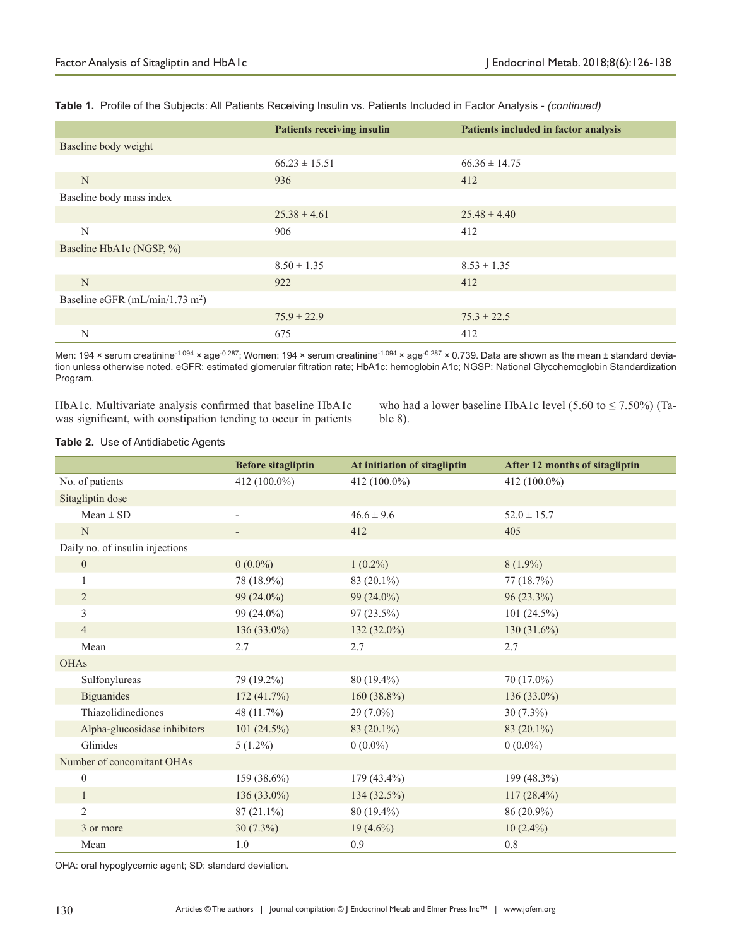|                                             | <b>Patients receiving insulin</b> | Patients included in factor analysis |
|---------------------------------------------|-----------------------------------|--------------------------------------|
| Baseline body weight                        |                                   |                                      |
|                                             | $66.23 \pm 15.51$                 | $66.36 \pm 14.75$                    |
| N                                           | 936                               | 412                                  |
| Baseline body mass index                    |                                   |                                      |
|                                             | $25.38 \pm 4.61$                  | $25.48 \pm 4.40$                     |
| N                                           | 906                               | 412                                  |
| Baseline HbA1c (NGSP, %)                    |                                   |                                      |
|                                             | $8.50 \pm 1.35$                   | $8.53 \pm 1.35$                      |
| N                                           | 922                               | 412                                  |
| Baseline eGFR (mL/min/1.73 m <sup>2</sup> ) |                                   |                                      |
|                                             | $75.9 \pm 22.9$                   | $75.3 \pm 22.5$                      |
| N                                           | 675                               | 412                                  |

**Table 1.** Profile of the Subjects: All Patients Receiving Insulin vs. Patients Included in Factor Analysis - *(continued)*

Men: 194 × serum creatinine<sup>-1.094</sup> × age<sup>-0.287</sup>; Women: 194 × serum creatinine<sup>-1.094</sup> × age<sup>-0.287</sup> × 0.739. Data are shown as the mean ± standard deviation unless otherwise noted. eGFR: estimated glomerular filtration rate; HbA1c: hemoglobin A1c; NGSP: National Glycohemoglobin Standardization Program.

HbA1c. Multivariate analysis confirmed that baseline HbA1c was significant, with constipation tending to occur in patients

who had a lower baseline HbA1c level  $(5.60 \text{ to } \le 7.50\%)$  (Table 8).

#### **Table 2.** Use of Antidiabetic Agents

|                                 | <b>Before sitagliptin</b> | At initiation of sitagliptin | After 12 months of sitagliptin |
|---------------------------------|---------------------------|------------------------------|--------------------------------|
| No. of patients                 | 412 (100.0%)              | 412 (100.0%)                 | 412 (100.0%)                   |
| Sitagliptin dose                |                           |                              |                                |
| $Mean \pm SD$                   | $\overline{\phantom{0}}$  | $46.6 \pm 9.6$               | $52.0 \pm 15.7$                |
| $\mathbf N$                     |                           | 412                          | 405                            |
| Daily no. of insulin injections |                           |                              |                                |
| $\overline{0}$                  | $0(0.0\%)$                | $1(0.2\%)$                   | $8(1.9\%)$                     |
| 1                               | 78 (18.9%)                | 83 (20.1%)                   | 77(18.7%)                      |
| $\overline{2}$                  | $99(24.0\%)$              | 99 (24.0%)                   | $96(23.3\%)$                   |
| 3                               | $99(24.0\%)$              | $97(23.5\%)$                 | $101(24.5\%)$                  |
| $\overline{4}$                  | 136 (33.0%)               | 132 (32.0%)                  | 130 $(31.6\%)$                 |
| Mean                            | 2.7                       | 2.7                          | 2.7                            |
| <b>OHAs</b>                     |                           |                              |                                |
| Sulfonylureas                   | 79 (19.2%)                | 80 (19.4%)                   | 70 (17.0%)                     |
| <b>Biguanides</b>               | 172(41.7%)                | $160(38.8\%)$                | $136(33.0\%)$                  |
| Thiazolidinediones              | 48 (11.7%)                | $29(7.0\%)$                  | $30(7.3\%)$                    |
| Alpha-glucosidase inhibitors    | $101(24.5\%)$             | 83 (20.1%)                   | 83 (20.1%)                     |
| Glinides                        | $5(1.2\%)$                | $0(0.0\%)$                   | $0(0.0\%)$                     |
| Number of concomitant OHAs      |                           |                              |                                |
| $\mathbf{0}$                    | 159 (38.6%)               | $179(43.4\%)$                | 199 (48.3%)                    |
| $\mathbf{1}$                    | 136 (33.0%)               | 134 (32.5%)                  | $117(28.4\%)$                  |
| $\overline{2}$                  | $87(21.1\%)$              | $80(19.4\%)$                 | 86 (20.9%)                     |
| 3 or more                       | $30(7.3\%)$               | $19(4.6\%)$                  | $10(2.4\%)$                    |
| Mean                            | 1.0                       | 0.9                          | 0.8                            |

OHA: oral hypoglycemic agent; SD: standard deviation.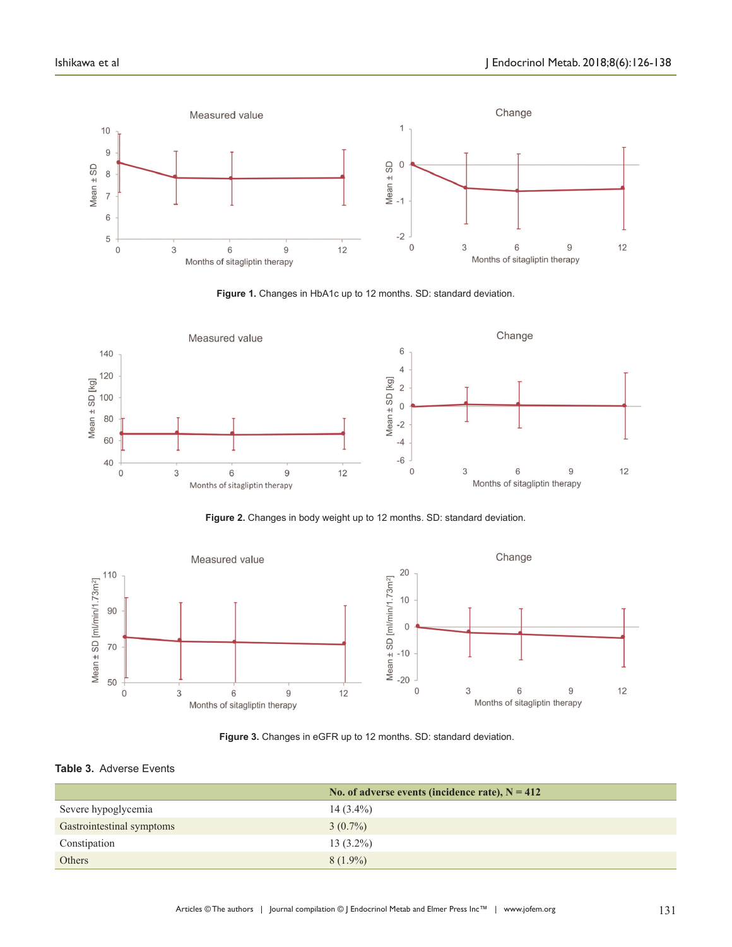

**Figure 1.** Changes in HbA1c up to 12 months. SD: standard deviation.



**Figure 2.** Changes in body weight up to 12 months. SD: standard deviation.



**Figure 3.** Changes in eGFR up to 12 months. SD: standard deviation.

### **Table 3.** Adverse Events

|                           | No. of adverse events (incidence rate), $N = 412$ |
|---------------------------|---------------------------------------------------|
| Severe hypoglycemia       | $14(3.4\%)$                                       |
| Gastrointestinal symptoms | $3(0.7\%)$                                        |
| Constipation              | $13(3.2\%)$                                       |
| Others                    | $8(1.9\%)$                                        |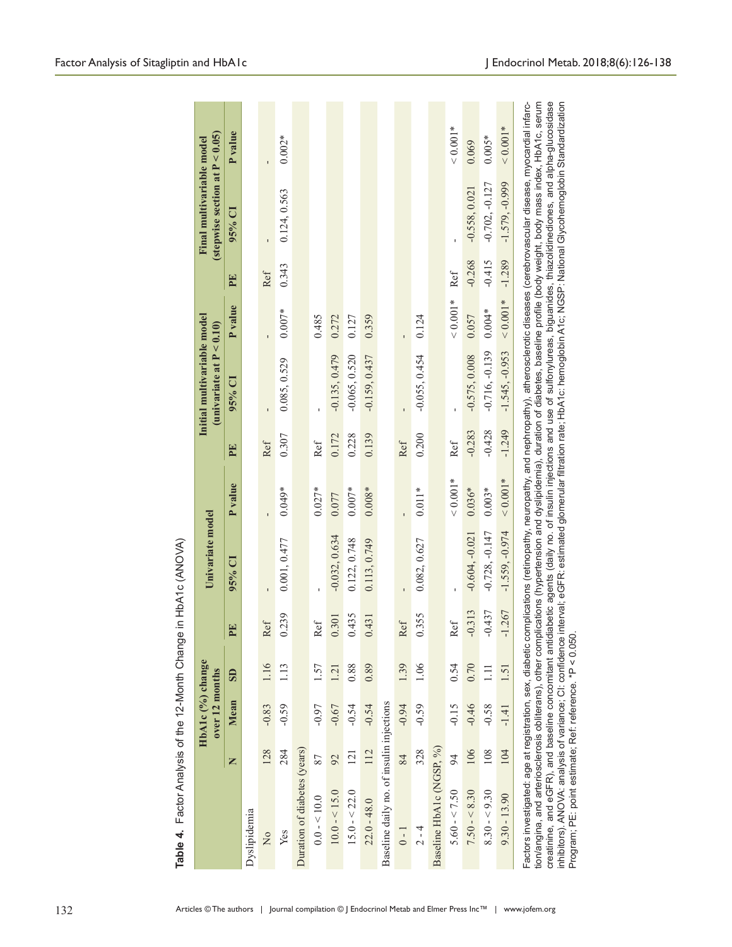|                                                                                                                                                                                                                                                                                                                                                                                                                                                                                                                                                                                                                                                                                                                                                                                                                               |     | HbA1c (%) change<br>over 12 months |                         |          | Univariate model |                |          | Initial multivariable model<br>$(\text{univariate at } P < 0.10)$ |                |          | (stepwise section at $P < 0.05$ )<br>Final multivariable model |                |
|-------------------------------------------------------------------------------------------------------------------------------------------------------------------------------------------------------------------------------------------------------------------------------------------------------------------------------------------------------------------------------------------------------------------------------------------------------------------------------------------------------------------------------------------------------------------------------------------------------------------------------------------------------------------------------------------------------------------------------------------------------------------------------------------------------------------------------|-----|------------------------------------|-------------------------|----------|------------------|----------------|----------|-------------------------------------------------------------------|----------------|----------|----------------------------------------------------------------|----------------|
|                                                                                                                                                                                                                                                                                                                                                                                                                                                                                                                                                                                                                                                                                                                                                                                                                               | Z   | Mean                               | $\overline{\mathbf{S}}$ | EE       | 95% CI           | <b>P</b> value | PE       | 95% CI                                                            | <b>P</b> value | EE       | $95%$ CI                                                       | <b>P</b> value |
| Dyslipidemia                                                                                                                                                                                                                                                                                                                                                                                                                                                                                                                                                                                                                                                                                                                                                                                                                  |     |                                    |                         |          |                  |                |          |                                                                   |                |          |                                                                |                |
| $\frac{1}{2}$                                                                                                                                                                                                                                                                                                                                                                                                                                                                                                                                                                                                                                                                                                                                                                                                                 | 128 | $-0.83$                            | 1.16                    | Ref      |                  |                | Ref      |                                                                   |                | Ref      |                                                                |                |
| Yes                                                                                                                                                                                                                                                                                                                                                                                                                                                                                                                                                                                                                                                                                                                                                                                                                           | 284 | $-0.59$                            | 1.13                    | 0.239    | 0.001, 0.477     | $0.049*$       | 0.307    | 0.085, 0.529                                                      | $0.007*$       | 0.343    | 0.124, 0.563                                                   | $0.002*$       |
| Duration of diabetes (years)                                                                                                                                                                                                                                                                                                                                                                                                                                                                                                                                                                                                                                                                                                                                                                                                  |     |                                    |                         |          |                  |                |          |                                                                   |                |          |                                                                |                |
| $0.0 - 10.0$                                                                                                                                                                                                                                                                                                                                                                                                                                                                                                                                                                                                                                                                                                                                                                                                                  | 87  | $-0.97$                            | 1.57                    | Ref      |                  | $0.027*$       | Ref      |                                                                   | 0.485          |          |                                                                |                |
| $10.0 - 5.0$                                                                                                                                                                                                                                                                                                                                                                                                                                                                                                                                                                                                                                                                                                                                                                                                                  | 92  | $-0.67$                            | 1.21                    | 0.301    | $-0.032, 0.634$  | 0.077          | 0.172    | $-0.135, 0.479$                                                   | 0.272          |          |                                                                |                |
| $15.0 - 22.0$                                                                                                                                                                                                                                                                                                                                                                                                                                                                                                                                                                                                                                                                                                                                                                                                                 | 121 | $-0.54$                            | 0.88                    | 0.435    | 0.122, 0.748     | $0.007*$       | 0.228    | $-0.065, 0.520$                                                   | 0.127          |          |                                                                |                |
| $22.0 - 48.0$                                                                                                                                                                                                                                                                                                                                                                                                                                                                                                                                                                                                                                                                                                                                                                                                                 | 112 | $-0.54$                            | 0.89                    | 0.431    | 0.113, 0.749     | $0.008*$       | 0.139    | $-0.159, 0.437$                                                   | 0.359          |          |                                                                |                |
| Baseline daily no. of insulin injections                                                                                                                                                                                                                                                                                                                                                                                                                                                                                                                                                                                                                                                                                                                                                                                      |     |                                    |                         |          |                  |                |          |                                                                   |                |          |                                                                |                |
| $0 - 1$                                                                                                                                                                                                                                                                                                                                                                                                                                                                                                                                                                                                                                                                                                                                                                                                                       | 84  | $-0.94$                            | 1.39                    | Ref      |                  |                | Ref      |                                                                   |                |          |                                                                |                |
| $2 - 4$                                                                                                                                                                                                                                                                                                                                                                                                                                                                                                                                                                                                                                                                                                                                                                                                                       | 328 | $-0.59$                            | 1.06                    | 0.355    | 0.082, 0.627     | $0.011*$       | 0.200    | $-0.055, 0.454$                                                   | 0.124          |          |                                                                |                |
| Baseline HbA1c (NGSP, %)                                                                                                                                                                                                                                                                                                                                                                                                                                                                                                                                                                                                                                                                                                                                                                                                      |     |                                    |                         |          |                  |                |          |                                                                   |                |          |                                                                |                |
| $5.60 - 5.50$                                                                                                                                                                                                                                                                                                                                                                                                                                                                                                                                                                                                                                                                                                                                                                                                                 | 94  | $-0.15$                            | 0.54                    | Ref      |                  | $< 0.001*$     | Ref      |                                                                   | ${}< 0.001*$   | Ref      |                                                                | $< 0.001*$     |
| $7.50 - 8.30$                                                                                                                                                                                                                                                                                                                                                                                                                                                                                                                                                                                                                                                                                                                                                                                                                 | 106 | $-0.46$                            | 0.70                    | $-0.313$ | $-0.604, -0.021$ | $0.036*$       | $-0.283$ | $-0.575, 0.008$                                                   | 0.057          | $-0.268$ | $-0.558, 0.021$                                                | 0.069          |
| $8.30 - 9.30$                                                                                                                                                                                                                                                                                                                                                                                                                                                                                                                                                                                                                                                                                                                                                                                                                 | 108 | $-0.58$                            | $\Xi$                   | $-0.437$ | $-0.728, -0.147$ | $0.003*$       | $-0.428$ | $-0.716, -0.139$                                                  | $0.004*$       | $-0.415$ | $-0.702, -0.127$                                               | $0.005*$       |
| $9.30 - 13.90$                                                                                                                                                                                                                                                                                                                                                                                                                                                                                                                                                                                                                                                                                                                                                                                                                | 104 | $-1.41$                            | 1.51                    | $-1.267$ | $-1.559, -0.974$ | $0.001*$       | $-1.249$ | $-1.545, -0.953$                                                  | ${}< 0.001*$   | $-1.289$ | $-1.579. -0.999$                                               | $0.001*$       |
| Factors investigated: age at registration, sex, diabetic complications (retinopathy, neuropathy, and nephropathy), atherosclerotic diseases (cerebrovascular disease, myocardial infarc-<br>tion/angina, and arteriosclerosis obliterans), other complications (hypertension and dyslipidemia), duration of diabetes, baseline profile (body weight, body mass index, HbA1c, serum<br>creatinine, and eGFR), and baseline concomitant antidiabetic agents (daily no. of insulin injections and use of sulfonylureas, biguanides, thiazolidinediones, and alpha-glucosidase<br>inhibitors). ANOVA: analysis of variance; Cl: confidence interval; eGFR: estimated glomerular filtration rate; HDA1c: hemoglobin A1c; NGSP: National Glycohemoglobin Standardization<br>Program; PE: point estimate; Ref: reference. *P < 0.050 |     |                                    |                         |          |                  |                |          |                                                                   |                |          |                                                                |                |

Table 4. Factor Analysis of the 12-Month Change in HbA1c (ANOVA)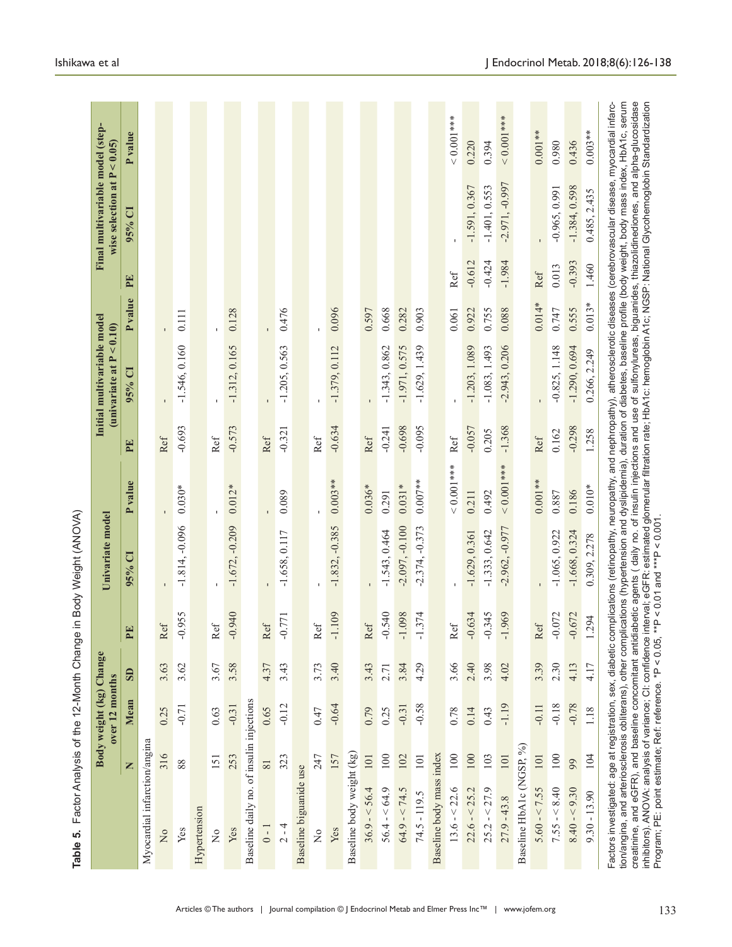| 3.62<br>3.58<br>3.63<br>3.67<br>$\overline{\mathbf{s}}$<br>Mean<br>$-0.71$<br>$-0.31$<br>0.25<br>0.63<br>Myocardial infarction/angina<br>316<br>253<br>151<br>88<br>Z<br>Hypertension<br>Yes<br>Yes<br>$\frac{1}{2}$<br>$\overline{a}$ |                                          | Univariate model |             |          | Initial multivariable model<br>(univariate at $P < 0.10$ ) |                |          | Final multivariable model (step-<br>wise selection at $P < 0.05$ ) |             |
|----------------------------------------------------------------------------------------------------------------------------------------------------------------------------------------------------------------------------------------|------------------------------------------|------------------|-------------|----------|------------------------------------------------------------|----------------|----------|--------------------------------------------------------------------|-------------|
|                                                                                                                                                                                                                                        | $\mathbf{E}$<br>$\overline{\phantom{a}}$ | $95%$ CI         | P value     | PE       | $95%$ CI                                                   | <b>P</b> value | PE       | $95%$ CI                                                           | Pvalue      |
|                                                                                                                                                                                                                                        |                                          |                  |             |          |                                                            |                |          |                                                                    |             |
|                                                                                                                                                                                                                                        | Ref                                      |                  |             | Ref      |                                                            |                |          |                                                                    |             |
|                                                                                                                                                                                                                                        | 955<br>$\bigcirc$                        | $-1.814, -0.096$ | $0.030*$    | $-0.693$ | $-1.546, 0.160$                                            | 0.111          |          |                                                                    |             |
|                                                                                                                                                                                                                                        |                                          |                  |             |          |                                                            |                |          |                                                                    |             |
|                                                                                                                                                                                                                                        | Ref                                      |                  |             | Ref      |                                                            |                |          |                                                                    |             |
|                                                                                                                                                                                                                                        | 076<br>$\cup$                            | $-1.672, -0.209$ | $0.012*$    | $-0.573$ | $-1.312, 0.165$                                            | 0.128          |          |                                                                    |             |
| Baseline daily no. of insulin injections                                                                                                                                                                                               |                                          |                  |             |          |                                                            |                |          |                                                                    |             |
| 4.37<br>0.65<br>$\overline{81}$<br>$0 - 1$                                                                                                                                                                                             | Ref                                      |                  |             | Ref      |                                                            |                |          |                                                                    |             |
| 3.43<br>$-0.12$<br>323<br>$2 - 4$                                                                                                                                                                                                      | 1771<br>P                                | $-1.658, 0.117$  | 0.089       | $-0.321$ | $-1.205, 0.563$                                            | 0.476          |          |                                                                    |             |
| Baseline biguanide use                                                                                                                                                                                                                 |                                          |                  |             |          |                                                            |                |          |                                                                    |             |
| 3.73<br>0.47<br>247<br>$\frac{1}{2}$                                                                                                                                                                                                   | $\operatorname{Ref}$                     |                  |             | Ref      |                                                            |                |          |                                                                    |             |
| 3.40<br>$-0.64$<br>157<br>Yes                                                                                                                                                                                                          | $-1.109$                                 | $-1.832, -0.385$ | $0.003**$   | $-0.634$ | $-1.379, 0.112$                                            | 0.096          |          |                                                                    |             |
| Baseline body weight (kg)                                                                                                                                                                                                              |                                          |                  |             |          |                                                            |                |          |                                                                    |             |
| 3.43<br>0.79<br>101<br>$36.9 - 56.4$                                                                                                                                                                                                   | Ref                                      |                  | $0.036*$    | Ref      |                                                            | 0.597          |          |                                                                    |             |
| 2.71<br>0.25<br>100<br>$56.4 - 64.9$                                                                                                                                                                                                   | 1.540<br>ę                               | $-1.543, 0.464$  | 0.291       | $-0.241$ | $-1.343, 0.862$                                            | 0.668          |          |                                                                    |             |
| 3.84<br>$-0.31$<br>102<br>$64.9 - 24.5$                                                                                                                                                                                                | 860<br>$\overline{1}$                    | $-2.097, -0.100$ | $0.031*$    | $-0.698$ | $-1.971, 0.575$                                            | 0.282          |          |                                                                    |             |
| 4.29<br>$-0.58$<br>101<br>$74.5 - 119.5$                                                                                                                                                                                               | 374<br>F                                 | $-2.374, -0.373$ | $0.007**$   | $-0.095$ | $-1.629, 1.439$                                            | 0.903          |          |                                                                    |             |
| Baseline body mass index                                                                                                                                                                                                               |                                          |                  |             |          |                                                            |                |          |                                                                    |             |
| 3.66<br>0.78<br>$100\,$<br>$13.6 - 22.6$                                                                                                                                                                                               | Ref                                      |                  | $0.001$ *** | Ref      |                                                            | 0.061          | Ref      |                                                                    | $0.001$ *** |
| 2.40<br>0.14<br>100<br>$22.6 - < 25.2$                                                                                                                                                                                                 | 1.634<br>Ģ                               | $-1.629, 0.361$  | 0.211       | $-0.057$ | $-1.203, 1.089$                                            | 0.922          | $-0.612$ | $-1.591, 0.367$                                                    | 0.220       |
| 3.98<br>0.43<br>103<br>$25.2 - 27.9$                                                                                                                                                                                                   | 1.345<br>ę                               | $-1.333, 0.642$  | 0.492       | 0.205    | $-1.083, 1.493$                                            | 0.755          | $-0.424$ | $-1.401, 0.553$                                                    | 0.394       |
| 4.02<br>$-1.19$<br>101<br>$27.9 - 43.8$                                                                                                                                                                                                | .969<br>$\overline{1}$                   | $-2.962, -0.977$ | $0.001$ *** | $-1.368$ | $-2.943, 0.206$                                            | 0.088          | $-1.984$ | $-2.971, -0.997$                                                   | $0.001***$  |
| Baseline HbA1c (NGSP, %)                                                                                                                                                                                                               |                                          |                  |             |          |                                                            |                |          |                                                                    |             |
| 3.39<br>$-0.11$<br>101<br>$5.60 - 5.55$                                                                                                                                                                                                | Ref                                      |                  | $0.001**$   | Ref      |                                                            | $0.014*$       | Ref      |                                                                    | $0.001**$   |
| 2.30<br>$-0.18$<br>100<br>$7.55 - 8.40$                                                                                                                                                                                                | $-0.072$                                 | $-1.065, 0.922$  | 0.887       | 0.162    | $-0.825, 1.148$                                            | 0.747          | 0.013    | $-0.965, 0.991$                                                    | 0.980       |
| 4.13<br>$-0.78$<br>99<br>$8.40 - 9.30$                                                                                                                                                                                                 | 1.672<br>$\bigcirc$                      | $-1.668, 0.324$  | 0.186       | $-0.298$ | $-1.290, 0.694$                                            | 0.555          | $-0.393$ | $-1.384, 0.598$                                                    | 0.436       |
| 4.17<br>1.18<br>104<br>$9.30 - 13.90$                                                                                                                                                                                                  | 1.294                                    | 0.309, 2.278     | $0.010*$    | 1.258    | 0.266, 2.249                                               | $0.013*$       | 1.460    | 0.485, 2.435                                                       | $0.003**$   |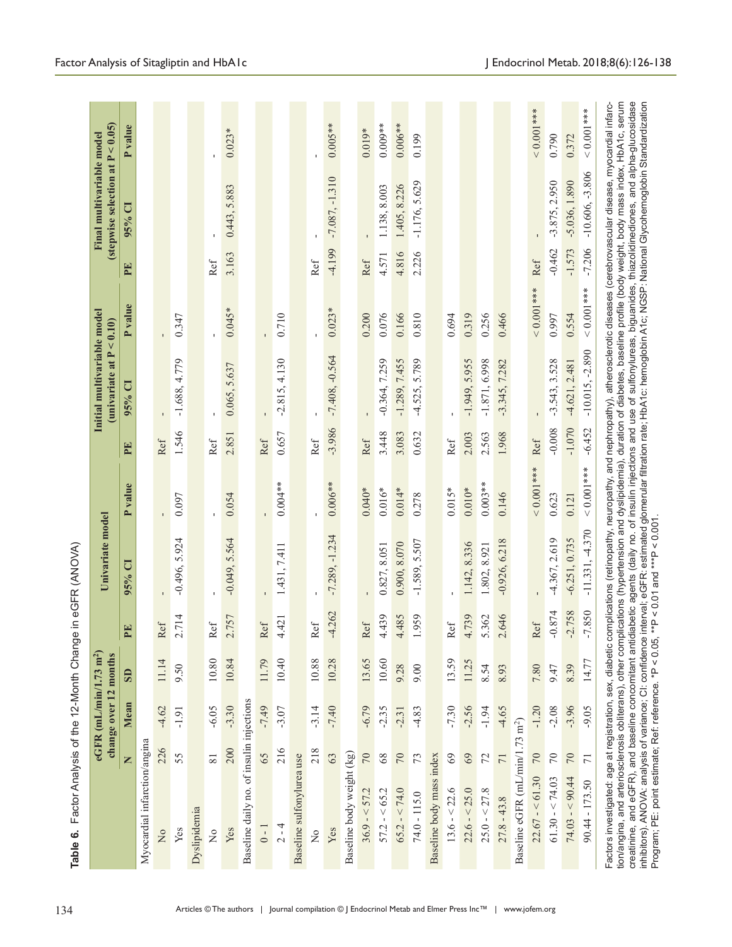|                                             |                 | change over 12 months | eGFR (mL/min/1.73 m <sup>2</sup> ) |                                     | Univariate model  |                |          | Initial multivariable model<br>(univariate at $P < 0.10$ ) |             |          | (stepwise selection at $P < 0.05$ )<br>Final multivariable model |                |
|---------------------------------------------|-----------------|-----------------------|------------------------------------|-------------------------------------|-------------------|----------------|----------|------------------------------------------------------------|-------------|----------|------------------------------------------------------------------|----------------|
|                                             | Z               | Mean                  | $\mathbf{S}$                       | 囯<br>$\overline{\mathbf{r}}$        | $95%$ Cl          | <b>P</b> value | PE       | $95%$ CI                                                   | Pvalue      | PE       | 95% CI                                                           | <b>P</b> value |
| Myocardial infarction/angina                |                 |                       |                                    |                                     |                   |                |          |                                                            |             |          |                                                                  |                |
| $\overline{\mathsf{X}}$                     | 226             | $-4.62$               | 11.14                              | Ref                                 |                   |                | Ref      |                                                            |             |          |                                                                  |                |
| Yes                                         | 55              | $-1.91$               | 9.50                               | 714<br>$\sim$                       | $-0.496, 5.924$   | 0.097          | 1.546    | $-1.688, 4.779$                                            | 0.347       |          |                                                                  |                |
| Dyslipidemia                                |                 |                       |                                    |                                     |                   |                |          |                                                            |             |          |                                                                  |                |
| $\frac{1}{2}$                               | $\overline{81}$ | $-6.05$               | $10.80\,$                          | Ref                                 |                   |                | Ref      |                                                            |             | Ref      |                                                                  |                |
| Yes                                         | 200             | $-3.30$               | 10.84                              | .757<br>$\sim$                      | $-0.049, 5.564$   | 0.054          | 2.851    | 0.065, 5.637                                               | $0.045*$    | 3.163    | 0.443, 5.883                                                     | $0.023*$       |
| Baseline daily no. of insulin injections    |                 |                       |                                    |                                     |                   |                |          |                                                            |             |          |                                                                  |                |
| $0 - 1$                                     | 65              | $-7.49$               | 11.79                              | Ref                                 |                   |                | Ref      |                                                            |             |          |                                                                  |                |
| $2 - 4$                                     | 216             | $-3.07$               | 10.40                              | 421<br>4.                           | 1.431, 7.411      | $0.004**$      | 0.657    | $-2.815, 4.130$                                            | 0.710       |          |                                                                  |                |
| Baseline sulfonylurea use                   |                 |                       |                                    |                                     |                   |                |          |                                                            |             |          |                                                                  |                |
| $\tilde{z}$                                 | 218             | $-3.14$               | 10.88                              | Ref                                 |                   |                | Ref      |                                                            |             | Ref      |                                                                  |                |
| Yes                                         | 63              | $-7.40$               | 10.28                              | $-4.262$                            | $-7.289, -1.234$  | $0.006**$      | $-3.986$ | $-7.408, -0.564$                                           | $0.023*$    | $-4.199$ | $-7.087, -1.310$                                                 | $0.005**$      |
| Baseline body weight (kg)                   |                 |                       |                                    |                                     |                   |                |          |                                                            |             |          |                                                                  |                |
| $36.9 - 57.2$                               | 70              | $-6.79$               | 13.65                              | Ref                                 |                   | $0.040*$       | Ref      |                                                            | 0.200       | Ref      |                                                                  | $0.019*$       |
| $57.2 - 55.2$                               | 68              | $-2.35$               | 10.60                              | 4.439                               | 0.827, 8.051      | $0.016*$       | 3.448    | $-0.364, 7.259$                                            | 0.076       | 4.571    | 1.138, 8.003                                                     | $0.009**$      |
| $65.2 - 5.74.0$                             | $70\,$          | $-2.31$               | 9.28                               | 4.485                               | 0.900, 8.070      | $0.014*$       | 3.083    | $-1.289, 7.455$                                            | 0.166       | 4.816    | 1.405, 8.226                                                     | $0.006**$      |
| $74.0 - 115.0$                              | 73              | $-4.83$               | 9.00                               | 959                                 | $-1.589, 5.507$   | 0.278          | 0.632    | -4.525, 5.789                                              | 0.810       | 2.226    | $-1.176, 5.629$                                                  | 0.199          |
| Baseline body mass index                    |                 |                       |                                    |                                     |                   |                |          |                                                            |             |          |                                                                  |                |
| $13.6 - < 22.6$                             | 69              | $-7.30$               | 13.59                              | $\operatorname{Ref}$                |                   | $0.015*$       | Ref      |                                                            | 0.694       |          |                                                                  |                |
| $22.6 - < 25.0$                             | $69$            | $-2.56$               | 11.25                              | 4.739                               | 1.142, 8.336      | $0.010*$       | 2.003    | $-1.949, 5.955$                                            | 0.319       |          |                                                                  |                |
| $25.0 - 27.8$                               | 72              | $-1.94$               | 8.54                               | 5.362                               | 1.802, 8.921      | $0.003**$      | 2.563    | $-1.871, 6.998$                                            | 0.256       |          |                                                                  |                |
| $27.8 - 43.8$                               | $71\,$          | $-4.65$               | 8.93                               | 2.646                               | $-0.926, 6.218$   | 0.146          | 1.968    | $-3.345, 7.282$                                            | 0.466       |          |                                                                  |                |
| Baseline eGFR (mL/min/1.73 m <sup>2</sup> ) |                 |                       |                                    |                                     |                   |                |          |                                                            |             |          |                                                                  |                |
| $22.67 - 61.30$                             | $70\,$          | $-1.20$               | $7.80\,$                           | Ref                                 |                   | $0.001$ ***    | Ref      |                                                            | $0.001$ *** | Ref      |                                                                  | $0.001$ ***    |
| $61.30 - 5.74.03$                           | $70\,$          | $-2.08$               | 9.47                               | 1.874<br>ę                          | $-4.367, 2.619$   | 0.623          | $-0.008$ | $-3.543, 3.528$                                            | 0.997       | $-0.462$ | $-3.875, 2.950$                                                  | 0.790          |
| $74.03 - 90.44$                             | $70$            | $-3.96$               | 8.39                               | .758<br>$\mathcal{L}_{\mathcal{I}}$ | $-6.251, 0.735$   | 0.121          | $-1.070$ | $-4.621, 2.481$                                            | 0.554       | $-1.573$ | $-5.036, 1.890$                                                  | 0.372          |
| $90.44 - 173.50$                            | $\overline{71}$ | $-9.05$               | 14.77                              | .850<br>$\overline{7}$              | $-11.331, -4.370$ | $< 0.001$ ***  | $-6.452$ | $-10.015, -2.890$                                          | $0.001$ *** | $-7.206$ | $-10.606, -3.806$                                                | $0.001$ ***    |

Table 6. Factor Analysis of the 12-Month Change in eGFR (ANOVA)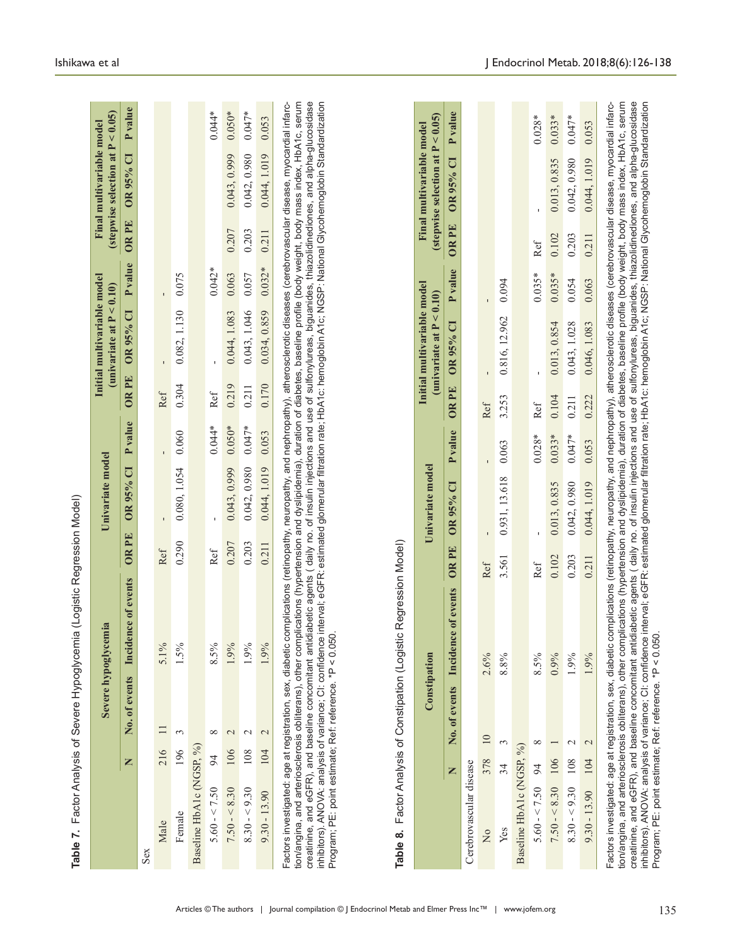|                          | Z   |                 |                        |       |                          |          |             | (univariate at $P < 0.10$ )  |          |              | (stepwise selection at $P < 0.05$ ) |                       |
|--------------------------|-----|-----------------|------------------------|-------|--------------------------|----------|-------------|------------------------------|----------|--------------|-------------------------------------|-----------------------|
|                          |     | No. of events   | Incidence of events    | OR PE | $\mathbf{C}$<br>OR 95%   | P value  | <b>ORPE</b> | $\mathbf{\bar{c}}$<br>OR 95% | P value  | <b>OR PE</b> | $\overline{\mathbf{C}}$<br>OR 95%   | <b>P</b> value        |
| Sex                      |     |                 |                        |       |                          |          |             |                              |          |              |                                     |                       |
| Male                     | 216 | $\equiv$        | 5.1%                   | Ref   |                          |          | Ref         |                              |          |              |                                     |                       |
| Female                   | 196 | 3               | 1.5%                   | 0.290 | 0.080, 1.054             | 0.060    | 0.304       | 0.082, 1.130                 | 0.075    |              |                                     |                       |
| Baseline HbA1c (NGSP, %) |     |                 |                        |       |                          |          |             |                              |          |              |                                     |                       |
| $5.60 - 50$              | 94  | ${}^{\circ}$    | 8.5%                   | Ref   |                          | $0.044*$ | Ref         |                              | $0.042*$ |              |                                     | $0.044*$              |
| $7.50 - 8.30$            | 106 | $\mathcal{L}$   | 1.9%                   | 0.207 | 0.043, 0.999             | $0.050*$ | 0.219       | 0.044, 1.083                 | 0.063    | 0.207        | 0.043, 0.999                        | $0.050*$              |
| $8.30 - 9.30$            | 108 | $\mathbf 2$     | 1.9%                   | 0.203 | 0.042, 0.980             | $0.047*$ | 0.211       | 0.043, 1.046                 | 0.057    | 0.203        | 0.042, 0.980                        | $0.047*$              |
| $9.30 - 13.90$           | 104 | $\mathbf{C}$    | 1.9%                   | 0.211 | 0.044, 1.019             | 0.053    | 0.170       | 0.034, 0.859                 | $0.032*$ | 0.211        | 0.044, 1.019                        | 0.053                 |
|                          |     |                 | Constipation           |       | Univariate model         |          |             | Initial multivariable model  |          |              | Final multivariable model           |                       |
|                          |     |                 |                        |       |                          |          |             | (univariate at $P < 0.10$ )  |          |              | (stepwise selection at $P < 0.05$ ) |                       |
|                          | Z   | No. of events   | of events<br>Incidence | OR PE | $\overline{C}$<br>OR 95% | P value  | <b>ORPE</b> | OR 95% CI                    | P value  | OR PE        | $\overline{\mathbf{C}}$<br>OR 95%   | value<br>$\mathbf{r}$ |
| Cerebrovascular disease  |     |                 |                        |       |                          |          |             |                              |          |              |                                     |                       |
| $\overline{a}$           | 378 | $\overline{10}$ | $2.6\%$                | Ref   |                          |          | Ref         |                              |          |              |                                     |                       |
| Yes                      | 34  | 3               | 8.8%                   | 3.561 | 0.931, 13.618            | 0.063    | 3.253       | 0.816, 12.962                | 0.094    |              |                                     |                       |
| Baseline HbA1c (NGSP, %) |     |                 |                        |       |                          |          |             |                              |          |              |                                     |                       |
| $5.60 - 5.50$            | 94  | $\infty$        | 8.5%                   | Ref   |                          | $0.028*$ | Ref         |                              | $0.035*$ | Ref          |                                     | $0.028*$              |
| $7.50 - 8.30$            | 106 |                 | 0.9%                   | 0.102 | 0.013, 0.835             | $0.033*$ | 0.104       | 0.013, 0.854                 | $0.035*$ | 0.102        | 0.013, 0.835                        | $0.033*$              |
| $8.30 - 9.30$            | 108 | $\mathbf 2$     | 1.9%                   | 0.203 | 0.042, 0.980             | $0.047*$ | 0.211       | 0.043, 1.028                 | 0.054    | 0.203        | 0.042, 0.980                        | $0.047*$              |
| $9.30 - 13.90$           | 104 | $\mathbb{C}$    | 1.9%                   | 0.211 | 0.044, 1.019             | 0.053    | 0.222       | 0.046, 1.083                 | 0.063    | 0.211        | 0.044, 1.019                        | 0.053                 |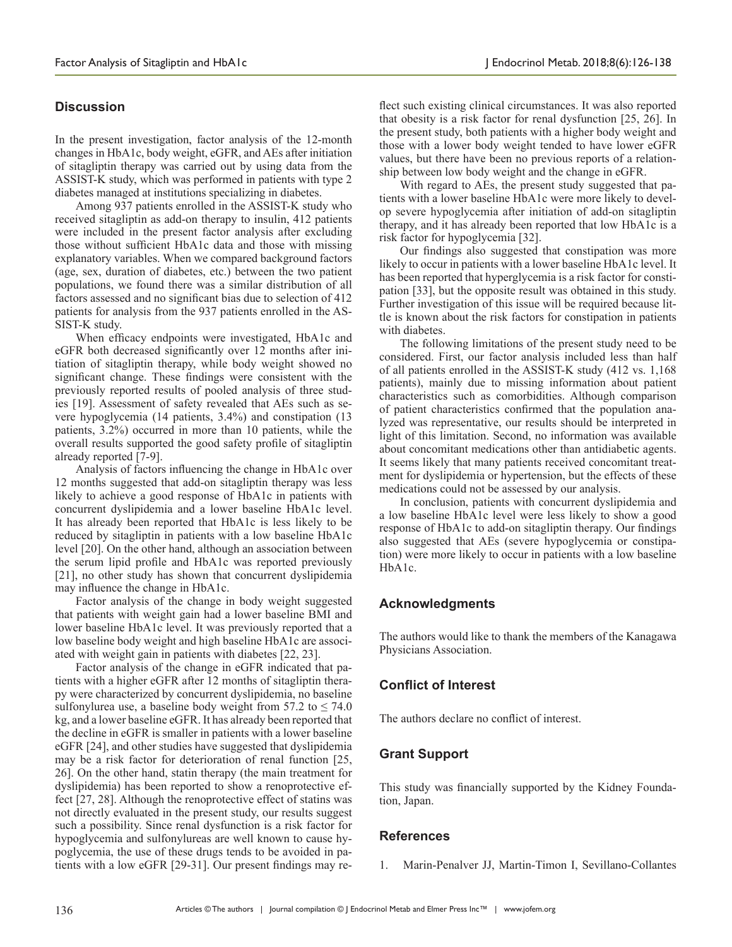# **Discussion**

In the present investigation, factor analysis of the 12-month changes in HbA1c, body weight, eGFR, and AEs after initiation of sitagliptin therapy was carried out by using data from the ASSIST-K study, which was performed in patients with type 2 diabetes managed at institutions specializing in diabetes.

Among 937 patients enrolled in the ASSIST-K study who received sitagliptin as add-on therapy to insulin, 412 patients were included in the present factor analysis after excluding those without sufficient HbA1c data and those with missing explanatory variables. When we compared background factors (age, sex, duration of diabetes, etc.) between the two patient populations, we found there was a similar distribution of all factors assessed and no significant bias due to selection of 412 patients for analysis from the 937 patients enrolled in the AS-SIST-K study.

When efficacy endpoints were investigated, HbA1c and eGFR both decreased significantly over 12 months after initiation of sitagliptin therapy, while body weight showed no significant change. These findings were consistent with the previously reported results of pooled analysis of three studies [19]. Assessment of safety revealed that AEs such as severe hypoglycemia (14 patients, 3.4%) and constipation (13 patients, 3.2%) occurred in more than 10 patients, while the overall results supported the good safety profile of sitagliptin already reported [7-9].

Analysis of factors influencing the change in HbA1c over 12 months suggested that add-on sitagliptin therapy was less likely to achieve a good response of HbA1c in patients with concurrent dyslipidemia and a lower baseline HbA1c level. It has already been reported that HbA1c is less likely to be reduced by sitagliptin in patients with a low baseline HbA1c level [20]. On the other hand, although an association between the serum lipid profile and HbA1c was reported previously [21], no other study has shown that concurrent dyslipidemia may influence the change in HbA1c.

Factor analysis of the change in body weight suggested that patients with weight gain had a lower baseline BMI and lower baseline HbA1c level. It was previously reported that a low baseline body weight and high baseline HbA1c are associated with weight gain in patients with diabetes [22, 23].

Factor analysis of the change in eGFR indicated that patients with a higher eGFR after 12 months of sitagliptin therapy were characterized by concurrent dyslipidemia, no baseline sulfonylurea use, a baseline body weight from 57.2 to  $\leq 74.0$ kg, and a lower baseline eGFR. It has already been reported that the decline in eGFR is smaller in patients with a lower baseline eGFR [24], and other studies have suggested that dyslipidemia may be a risk factor for deterioration of renal function [25, 26]. On the other hand, statin therapy (the main treatment for dyslipidemia) has been reported to show a renoprotective effect [27, 28]. Although the renoprotective effect of statins was not directly evaluated in the present study, our results suggest such a possibility. Since renal dysfunction is a risk factor for hypoglycemia and sulfonylureas are well known to cause hypoglycemia, the use of these drugs tends to be avoided in patients with a low eGFR [29-31]. Our present findings may reflect such existing clinical circumstances. It was also reported that obesity is a risk factor for renal dysfunction [25, 26]. In the present study, both patients with a higher body weight and those with a lower body weight tended to have lower eGFR values, but there have been no previous reports of a relationship between low body weight and the change in eGFR.

With regard to AEs, the present study suggested that patients with a lower baseline HbA1c were more likely to develop severe hypoglycemia after initiation of add-on sitagliptin therapy, and it has already been reported that low HbA1c is a risk factor for hypoglycemia [32].

Our findings also suggested that constipation was more likely to occur in patients with a lower baseline HbA1c level. It has been reported that hyperglycemia is a risk factor for constipation [33], but the opposite result was obtained in this study. Further investigation of this issue will be required because little is known about the risk factors for constipation in patients with diabetes.

The following limitations of the present study need to be considered. First, our factor analysis included less than half of all patients enrolled in the ASSIST-K study (412 vs. 1,168 patients), mainly due to missing information about patient characteristics such as comorbidities. Although comparison of patient characteristics confirmed that the population analyzed was representative, our results should be interpreted in light of this limitation. Second, no information was available about concomitant medications other than antidiabetic agents. It seems likely that many patients received concomitant treatment for dyslipidemia or hypertension, but the effects of these medications could not be assessed by our analysis.

In conclusion, patients with concurrent dyslipidemia and a low baseline HbA1c level were less likely to show a good response of HbA1c to add-on sitagliptin therapy. Our findings also suggested that AEs (severe hypoglycemia or constipation) were more likely to occur in patients with a low baseline HbA1c.

# **Acknowledgments**

The authors would like to thank the members of the Kanagawa Physicians Association.

# **Conflict of Interest**

The authors declare no conflict of interest.

# **Grant Support**

This study was financially supported by the Kidney Foundation, Japan.

# **References**

1. Marin-Penalver JJ, Martin-Timon I, Sevillano-Collantes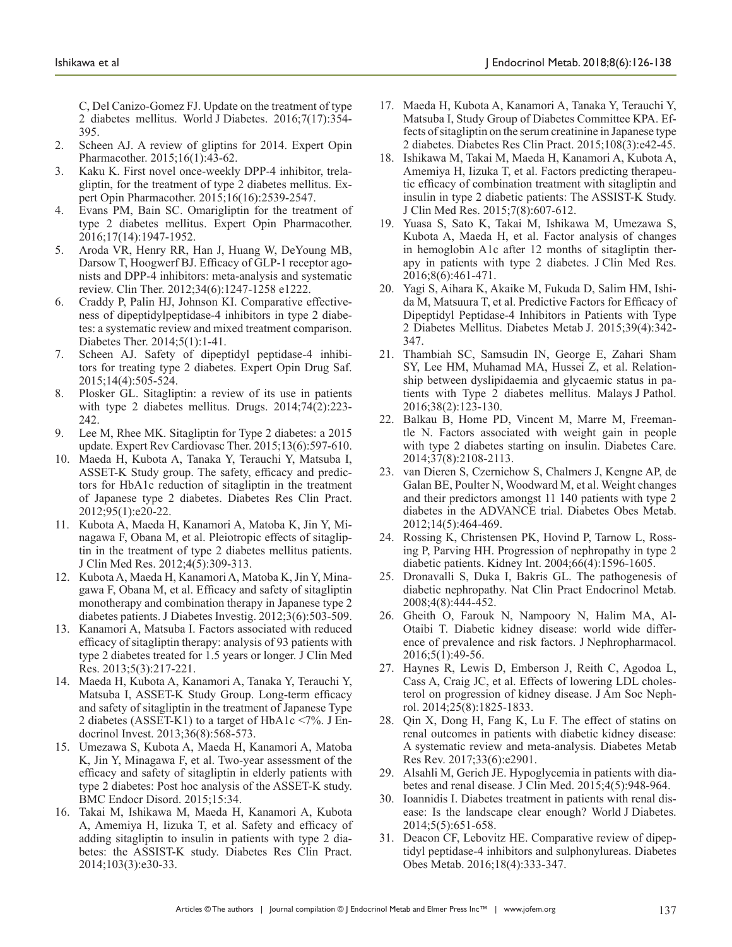C, Del Canizo-Gomez FJ. Update on the treatment of type 2 diabetes mellitus. World J Diabetes. 2016;7(17):354- 395.

- 2. Scheen AJ. A review of gliptins for 2014. Expert Opin Pharmacother. 2015;16(1):43-62.
- 3. Kaku K. First novel once-weekly DPP-4 inhibitor, trelagliptin, for the treatment of type 2 diabetes mellitus. Expert Opin Pharmacother. 2015;16(16):2539-2547.
- 4. Evans PM, Bain SC. Omarigliptin for the treatment of type 2 diabetes mellitus. Expert Opin Pharmacother. 2016;17(14):1947-1952.
- 5. Aroda VR, Henry RR, Han J, Huang W, DeYoung MB, Darsow T, Hoogwerf BJ. Efficacy of GLP-1 receptor agonists and DPP-4 inhibitors: meta-analysis and systematic review. Clin Ther. 2012;34(6):1247-1258 e1222.
- 6. Craddy P, Palin HJ, Johnson KI. Comparative effectiveness of dipeptidylpeptidase-4 inhibitors in type 2 diabetes: a systematic review and mixed treatment comparison. Diabetes Ther. 2014;5(1):1-41.
- 7. Scheen AJ. Safety of dipeptidyl peptidase-4 inhibitors for treating type 2 diabetes. Expert Opin Drug Saf. 2015;14(4):505-524.
- 8. Plosker GL. Sitagliptin: a review of its use in patients with type 2 diabetes mellitus. Drugs. 2014;74(2):223- 242.
- 9. Lee M, Rhee MK. Sitagliptin for Type 2 diabetes: a 2015 update. Expert Rev Cardiovasc Ther. 2015;13(6):597-610.
- 10. Maeda H, Kubota A, Tanaka Y, Terauchi Y, Matsuba I, ASSET-K Study group. The safety, efficacy and predictors for HbA1c reduction of sitagliptin in the treatment of Japanese type 2 diabetes. Diabetes Res Clin Pract. 2012;95(1):e20-22.
- 11. Kubota A, Maeda H, Kanamori A, Matoba K, Jin Y, Minagawa F, Obana M, et al. Pleiotropic effects of sitagliptin in the treatment of type 2 diabetes mellitus patients. J Clin Med Res. 2012;4(5):309-313.
- 12. Kubota A, Maeda H, Kanamori A, Matoba K, Jin Y, Minagawa F, Obana M, et al. Efficacy and safety of sitagliptin monotherapy and combination therapy in Japanese type 2 diabetes patients. J Diabetes Investig. 2012;3(6):503-509.
- 13. Kanamori A, Matsuba I. Factors associated with reduced efficacy of sitagliptin therapy: analysis of 93 patients with type 2 diabetes treated for 1.5 years or longer. J Clin Med Res. 2013;5(3):217-221.
- 14. Maeda H, Kubota A, Kanamori A, Tanaka Y, Terauchi Y, Matsuba I, ASSET-K Study Group. Long-term efficacy and safety of sitagliptin in the treatment of Japanese Type 2 diabetes (ASSET-K1) to a target of HbA1c <7%. J Endocrinol Invest. 2013;36(8):568-573.
- 15. Umezawa S, Kubota A, Maeda H, Kanamori A, Matoba K, Jin Y, Minagawa F, et al. Two-year assessment of the efficacy and safety of sitagliptin in elderly patients with type 2 diabetes: Post hoc analysis of the ASSET-K study. BMC Endocr Disord. 2015;15:34.
- 16. Takai M, Ishikawa M, Maeda H, Kanamori A, Kubota A, Amemiya H, Iizuka T, et al. Safety and efficacy of adding sitagliptin to insulin in patients with type 2 diabetes: the ASSIST-K study. Diabetes Res Clin Pract. 2014;103(3):e30-33.
- 17. Maeda H, Kubota A, Kanamori A, Tanaka Y, Terauchi Y, Matsuba I, Study Group of Diabetes Committee KPA. Effects of sitagliptin on the serum creatinine in Japanese type 2 diabetes. Diabetes Res Clin Pract. 2015;108(3):e42-45.
- 18. Ishikawa M, Takai M, Maeda H, Kanamori A, Kubota A, Amemiya H, Iizuka T, et al. Factors predicting therapeutic efficacy of combination treatment with sitagliptin and insulin in type 2 diabetic patients: The ASSIST-K Study. J Clin Med Res. 2015;7(8):607-612.
- 19. Yuasa S, Sato K, Takai M, Ishikawa M, Umezawa S, Kubota A, Maeda H, et al. Factor analysis of changes in hemoglobin A1c after 12 months of sitagliptin therapy in patients with type 2 diabetes. J Clin Med Res. 2016;8(6):461-471.
- 20. Yagi S, Aihara K, Akaike M, Fukuda D, Salim HM, Ishida M, Matsuura T, et al. Predictive Factors for Efficacy of Dipeptidyl Peptidase-4 Inhibitors in Patients with Type 2 Diabetes Mellitus. Diabetes Metab J. 2015;39(4):342- 347.
- 21. Thambiah SC, Samsudin IN, George E, Zahari Sham SY, Lee HM, Muhamad MA, Hussei Z, et al. Relationship between dyslipidaemia and glycaemic status in patients with Type 2 diabetes mellitus. Malays J Pathol. 2016;38(2):123-130.
- 22. Balkau B, Home PD, Vincent M, Marre M, Freemantle N. Factors associated with weight gain in people with type 2 diabetes starting on insulin. Diabetes Care. 2014;37(8):2108-2113.
- 23. van Dieren S, Czernichow S, Chalmers J, Kengne AP, de Galan BE, Poulter N, Woodward M, et al. Weight changes and their predictors amongst 11 140 patients with type 2 diabetes in the ADVANCE trial. Diabetes Obes Metab. 2012;14(5):464-469.
- 24. Rossing K, Christensen PK, Hovind P, Tarnow L, Rossing P, Parving HH. Progression of nephropathy in type 2 diabetic patients. Kidney Int. 2004;66(4):1596-1605.
- 25. Dronavalli S, Duka I, Bakris GL. The pathogenesis of diabetic nephropathy. Nat Clin Pract Endocrinol Metab. 2008;4(8):444-452.
- 26. Gheith O, Farouk N, Nampoory N, Halim MA, Al-Otaibi T. Diabetic kidney disease: world wide difference of prevalence and risk factors. J Nephropharmacol. 2016;5(1):49-56.
- 27. Haynes R, Lewis D, Emberson J, Reith C, Agodoa L, Cass A, Craig JC, et al. Effects of lowering LDL cholesterol on progression of kidney disease. J Am Soc Nephrol. 2014;25(8):1825-1833.
- 28. Qin X, Dong H, Fang K, Lu F. The effect of statins on renal outcomes in patients with diabetic kidney disease: A systematic review and meta-analysis. Diabetes Metab Res Rev. 2017;33(6):e2901.
- 29. Alsahli M, Gerich JE. Hypoglycemia in patients with diabetes and renal disease. J Clin Med. 2015;4(5):948-964.
- 30. Ioannidis I. Diabetes treatment in patients with renal disease: Is the landscape clear enough? World J Diabetes. 2014;5(5):651-658.
- 31. Deacon CF, Lebovitz HE. Comparative review of dipeptidyl peptidase-4 inhibitors and sulphonylureas. Diabetes Obes Metab. 2016;18(4):333-347.